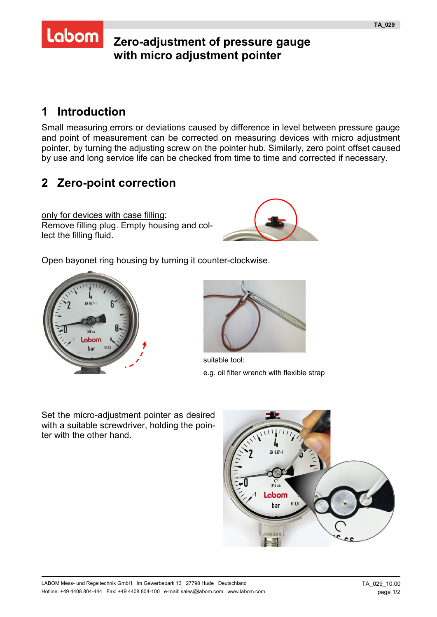## **Zero-adjustment of pressure gauge with micro adjustment pointer**

## **1 Introduction**

Labom

Small measuring errors or deviations caused by difference in level between pressure gauge and point of measurement can be corrected on measuring devices with micro adjustment pointer, by turning the adjusting screw on the pointer hub. Similarly, zero point offset caused by use and long service life can be checked from time to time and corrected if necessary.

## **2 Zero-point correction**

only for devices with case filling: Remove filling plug. Empty housing and collect the filling fluid.



Open bayonet ring housing by turning it counter-clockwise.





suitable tool: e.g. oil filter wrench with flexible strap

Set the micro-adjustment pointer as desired with a suitable screwdriver, holding the pointer with the other hand.